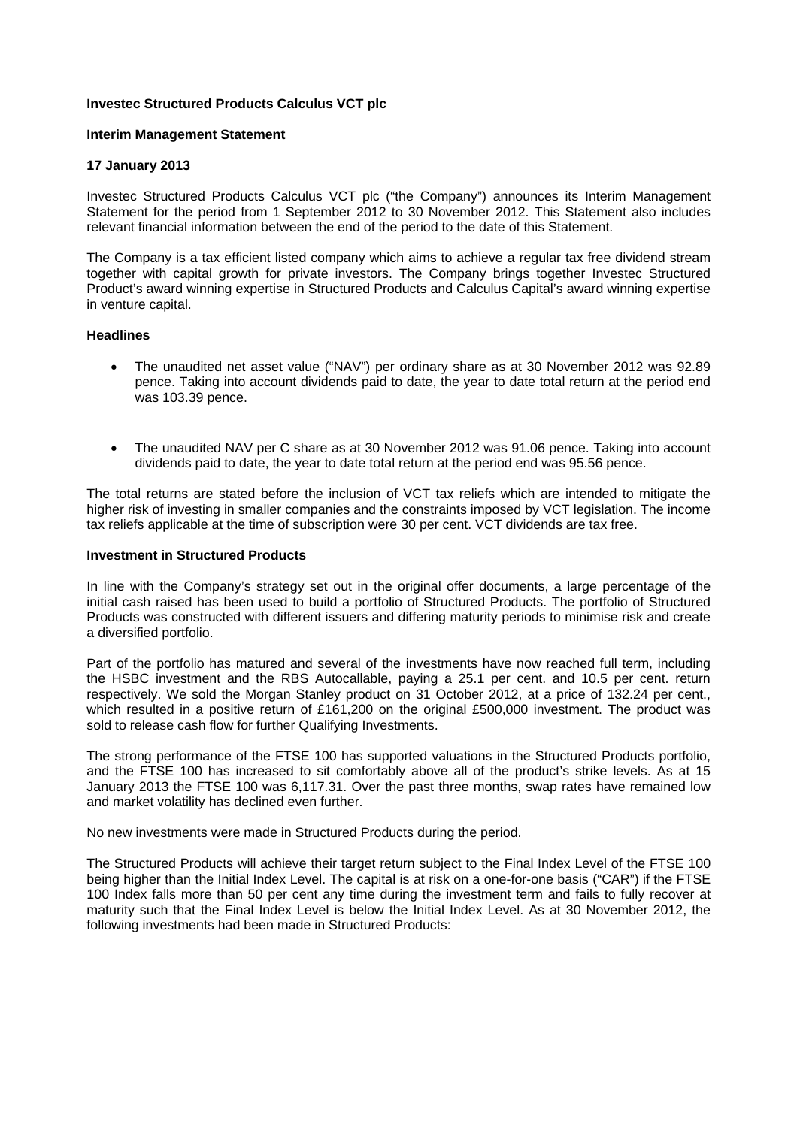# **Investec Structured Products Calculus VCT plc**

### **Interim Management Statement**

### **17 January 2013**

Investec Structured Products Calculus VCT plc ("the Company") announces its Interim Management Statement for the period from 1 September 2012 to 30 November 2012. This Statement also includes relevant financial information between the end of the period to the date of this Statement.

The Company is a tax efficient listed company which aims to achieve a regular tax free dividend stream together with capital growth for private investors. The Company brings together Investec Structured Product's award winning expertise in Structured Products and Calculus Capital's award winning expertise in venture capital.

### **Headlines**

- The unaudited net asset value ("NAV") per ordinary share as at 30 November 2012 was 92.89 pence. Taking into account dividends paid to date, the year to date total return at the period end was 103.39 pence.
- The unaudited NAV per C share as at 30 November 2012 was 91.06 pence. Taking into account dividends paid to date, the year to date total return at the period end was 95.56 pence.

The total returns are stated before the inclusion of VCT tax reliefs which are intended to mitigate the higher risk of investing in smaller companies and the constraints imposed by VCT legislation. The income tax reliefs applicable at the time of subscription were 30 per cent. VCT dividends are tax free.

#### **Investment in Structured Products**

In line with the Company's strategy set out in the original offer documents, a large percentage of the initial cash raised has been used to build a portfolio of Structured Products. The portfolio of Structured Products was constructed with different issuers and differing maturity periods to minimise risk and create a diversified portfolio.

Part of the portfolio has matured and several of the investments have now reached full term, including the HSBC investment and the RBS Autocallable, paying a 25.1 per cent. and 10.5 per cent. return respectively. We sold the Morgan Stanley product on 31 October 2012, at a price of 132.24 per cent., which resulted in a positive return of £161,200 on the original £500,000 investment. The product was sold to release cash flow for further Qualifying Investments.

The strong performance of the FTSE 100 has supported valuations in the Structured Products portfolio, and the FTSE 100 has increased to sit comfortably above all of the product's strike levels. As at 15 January 2013 the FTSE 100 was 6,117.31. Over the past three months, swap rates have remained low and market volatility has declined even further.

No new investments were made in Structured Products during the period.

The Structured Products will achieve their target return subject to the Final Index Level of the FTSE 100 being higher than the Initial Index Level. The capital is at risk on a one-for-one basis ("CAR") if the FTSE 100 Index falls more than 50 per cent any time during the investment term and fails to fully recover at maturity such that the Final Index Level is below the Initial Index Level. As at 30 November 2012, the following investments had been made in Structured Products: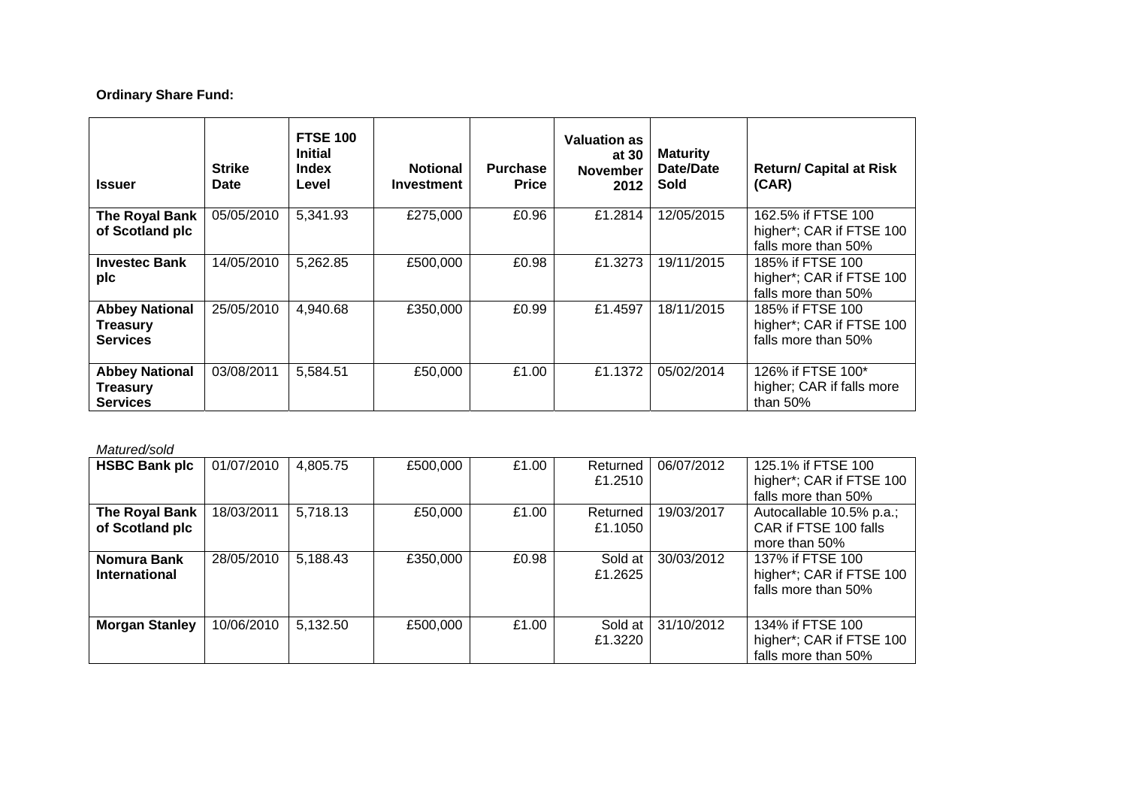# **Ordinary Share Fund:**

| <b>Issuer</b>                                               | <b>Strike</b><br>Date | <b>FTSE 100</b><br><b>Initial</b><br><b>Index</b><br>Level | <b>Notional</b><br><b>Investment</b> | <b>Purchase</b><br><b>Price</b> | <b>Valuation as</b><br>at 30<br><b>November</b><br>2012 | <b>Maturity</b><br>Date/Date<br><b>Sold</b> | <b>Return/ Capital at Risk</b><br>(CAR)                               |
|-------------------------------------------------------------|-----------------------|------------------------------------------------------------|--------------------------------------|---------------------------------|---------------------------------------------------------|---------------------------------------------|-----------------------------------------------------------------------|
| The Royal Bank<br>of Scotland plc                           | 05/05/2010            | 5,341.93                                                   | £275,000                             | £0.96                           | £1.2814                                                 | 12/05/2015                                  | 162.5% if FTSE 100<br>higher*; CAR if FTSE 100<br>falls more than 50% |
| <b>Investec Bank</b><br>plc                                 | 14/05/2010            | 5,262.85                                                   | £500,000                             | £0.98                           | £1.3273                                                 | 19/11/2015                                  | 185% if FTSE 100<br>higher*; CAR if FTSE 100<br>falls more than 50%   |
| <b>Abbey National</b><br><b>Treasury</b><br><b>Services</b> | 25/05/2010            | 4,940.68                                                   | £350,000                             | £0.99                           | £1.4597                                                 | 18/11/2015                                  | 185% if FTSE 100<br>higher*; CAR if FTSE 100<br>falls more than 50%   |
| <b>Abbey National</b><br><b>Treasury</b><br><b>Services</b> | 03/08/2011            | 5,584.51                                                   | £50,000                              | £1.00                           | £1.1372                                                 | 05/02/2014                                  | 126% if FTSE 100*<br>higher; CAR if falls more<br>than $50\%$         |

#### *Matured/sold*

| <b>HSBC Bank plc</b>                | 01/07/2010 | 4,805.75 | £500,000 | £1.00 | Returned<br>£1.2510 | 06/07/2012 | 125.1% if FTSE 100<br>higher*; CAR if FTSE 100<br>falls more than 50% |
|-------------------------------------|------------|----------|----------|-------|---------------------|------------|-----------------------------------------------------------------------|
| The Royal Bank<br>of Scotland plc   | 18/03/2011 | 5,718.13 | £50,000  | £1.00 | Returned<br>£1.1050 | 19/03/2017 | Autocallable 10.5% p.a.;<br>CAR if FTSE 100 falls<br>more than 50%    |
| Nomura Bank<br><b>International</b> | 28/05/2010 | 5,188.43 | £350,000 | £0.98 | Sold at<br>£1.2625  | 30/03/2012 | 137% if FTSE 100<br>higher*; CAR if FTSE 100<br>falls more than 50%   |
| <b>Morgan Stanley</b>               | 10/06/2010 | 5,132.50 | £500,000 | £1.00 | Sold at<br>£1.3220  | 31/10/2012 | 134% if FTSE 100<br>higher*; CAR if FTSE 100<br>falls more than 50%   |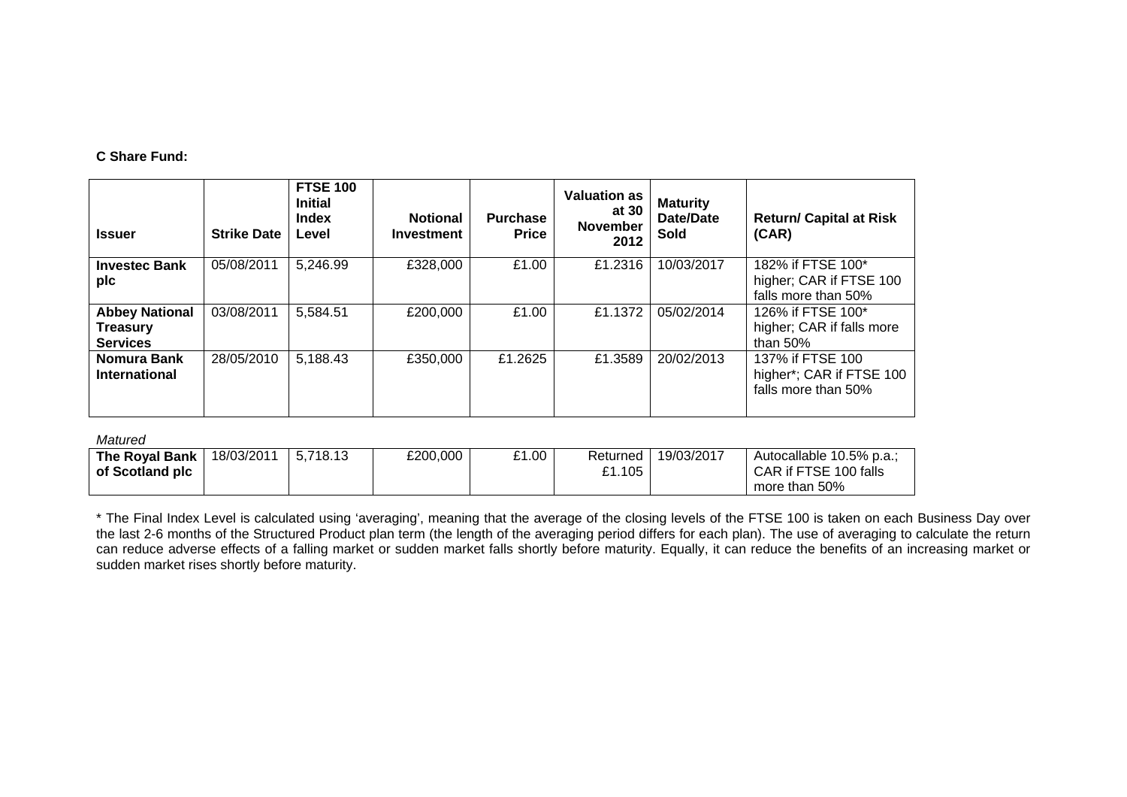# **C Share Fund:**

| <b>Issuer</b>                                               | <b>Strike Date</b> | <b>FTSE 100</b><br><b>Initial</b><br><b>Index</b><br>Level | <b>Notional</b><br><b>Investment</b> | <b>Purchase</b><br><b>Price</b> | <b>Valuation as</b><br>at 30<br><b>November</b><br>2012 | <b>Maturity</b><br><b>Date/Date</b><br>Sold | <b>Return/ Capital at Risk</b><br>(CAR)                             |
|-------------------------------------------------------------|--------------------|------------------------------------------------------------|--------------------------------------|---------------------------------|---------------------------------------------------------|---------------------------------------------|---------------------------------------------------------------------|
| <b>Investec Bank</b><br>plc                                 | 05/08/2011         | 5,246.99                                                   | £328,000                             | £1.00                           | £1.2316                                                 | 10/03/2017                                  | 182% if FTSE 100*<br>higher; CAR if FTSE 100<br>falls more than 50% |
| <b>Abbey National</b><br><b>Treasury</b><br><b>Services</b> | 03/08/2011         | 5,584.51                                                   | £200,000                             | £1.00                           | £1.1372                                                 | 05/02/2014                                  | 126% if FTSE 100*<br>higher; CAR if falls more<br>than $50\%$       |
| Nomura Bank<br><b>International</b>                         | 28/05/2010         | 5,188.43                                                   | £350.000                             | £1.2625                         | £1.3589                                                 | 20/02/2013                                  | 137% if FTSE 100<br>higher*; CAR if FTSE 100<br>falls more than 50% |

### *Matured*

| The Royal Bank  | 18/03/2011 | 5.718.13 | £200,000 | £1.00 | Returned | 19/03/2017 | Autocallable 10.5% p.a.; |
|-----------------|------------|----------|----------|-------|----------|------------|--------------------------|
| of Scotland plc |            |          |          |       | £1.105   |            | CAR if FTSE 100 falls    |
|                 |            |          |          |       |          |            | more than 50%            |

\* The Final Index Level is calculated using 'averaging', meaning that the average of the closing levels of the FTSE 100 is taken on each Business Day over the last 2-6 months of the Structured Product plan term (the length of the averaging period differs for each plan). The use of averaging to calculate the return can reduce adverse effects of a falling market or sudden market falls shortly before maturity. Equally, it can reduce the benefits of an increasing market or sudden market rises shortly before maturity.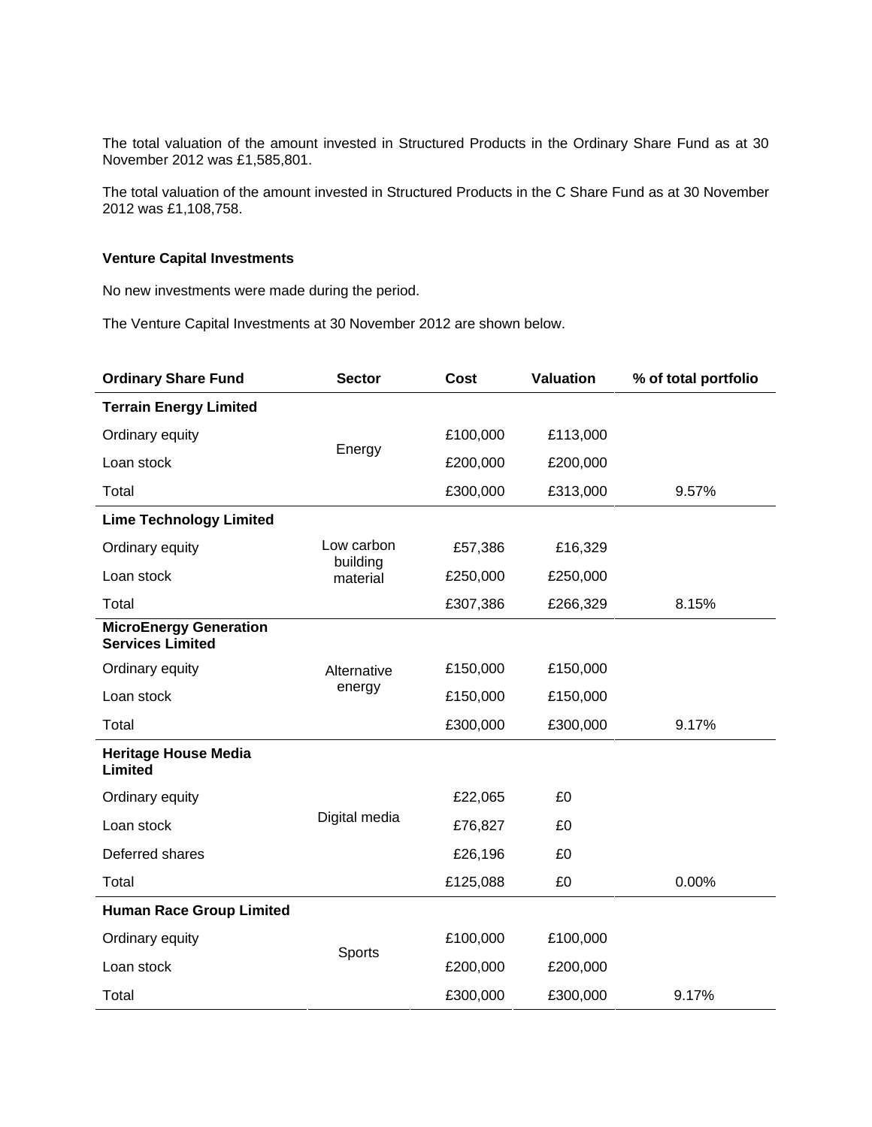The total valuation of the amount invested in Structured Products in the Ordinary Share Fund as at 30 November 2012 was £1,585,801.

The total valuation of the amount invested in Structured Products in the C Share Fund as at 30 November 2012 was £1,108,758.

# **Venture Capital Investments**

No new investments were made during the period.

The Venture Capital Investments at 30 November 2012 are shown below.

| <b>Ordinary Share Fund</b>                               | <b>Sector</b>          | Cost     | <b>Valuation</b> | % of total portfolio |
|----------------------------------------------------------|------------------------|----------|------------------|----------------------|
| <b>Terrain Energy Limited</b>                            |                        |          |                  |                      |
| Ordinary equity                                          |                        | £100,000 | £113,000         |                      |
| Loan stock                                               | Energy                 | £200,000 | £200,000         |                      |
| Total                                                    |                        | £300,000 | £313,000         | 9.57%                |
| <b>Lime Technology Limited</b>                           |                        |          |                  |                      |
| Ordinary equity                                          | Low carbon<br>building | £57,386  | £16,329          |                      |
| Loan stock                                               | material               | £250,000 | £250,000         |                      |
| Total                                                    |                        | £307,386 | £266,329         | 8.15%                |
| <b>MicroEnergy Generation</b><br><b>Services Limited</b> |                        |          |                  |                      |
| Ordinary equity                                          | Alternative            | £150,000 | £150,000         |                      |
| Loan stock                                               | energy                 | £150,000 | £150,000         |                      |
| Total                                                    |                        | £300,000 | £300,000         | 9.17%                |
| <b>Heritage House Media</b><br>Limited                   |                        |          |                  |                      |
| Ordinary equity                                          |                        | £22,065  | £0               |                      |
| Loan stock                                               | Digital media          | £76,827  | £0               |                      |
| Deferred shares                                          |                        | £26,196  | £0               |                      |
| Total                                                    |                        | £125,088 | £0               | 0.00%                |
| <b>Human Race Group Limited</b>                          |                        |          |                  |                      |
| Ordinary equity                                          |                        | £100,000 | £100,000         |                      |
| Loan stock                                               | Sports                 | £200,000 | £200,000         |                      |
| Total                                                    |                        | £300,000 | £300,000         | 9.17%                |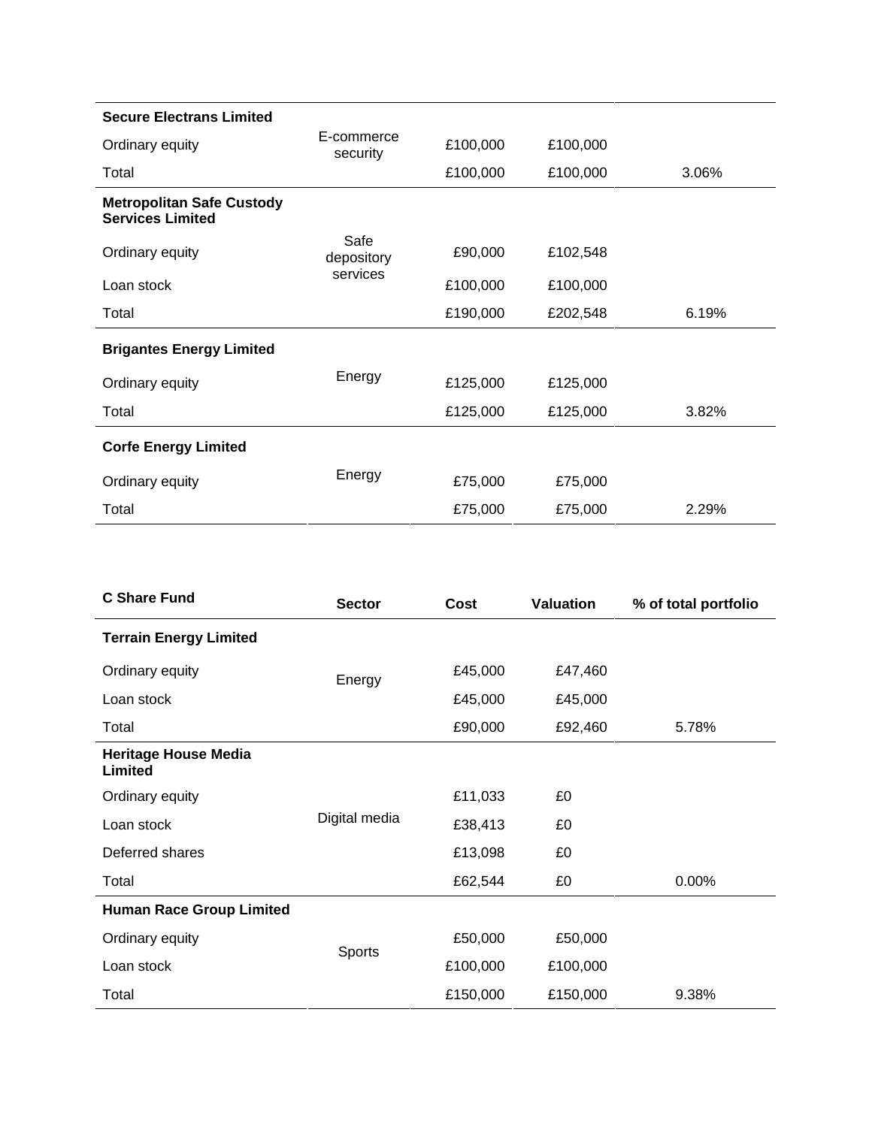| <b>Secure Electrans Limited</b>                             |                        |          |          |       |
|-------------------------------------------------------------|------------------------|----------|----------|-------|
| Ordinary equity                                             | E-commerce<br>security | £100,000 | £100,000 |       |
| Total                                                       |                        | £100,000 | £100,000 | 3.06% |
| <b>Metropolitan Safe Custody</b><br><b>Services Limited</b> |                        |          |          |       |
| Ordinary equity                                             | Safe<br>depository     | £90,000  | £102,548 |       |
| Loan stock                                                  | services               | £100,000 | £100,000 |       |
| Total                                                       |                        | £190,000 | £202,548 | 6.19% |
| <b>Brigantes Energy Limited</b>                             |                        |          |          |       |
| Ordinary equity                                             | Energy                 | £125,000 | £125,000 |       |
| Total                                                       |                        | £125,000 | £125,000 | 3.82% |
| <b>Corfe Energy Limited</b>                                 |                        |          |          |       |
| Ordinary equity                                             | Energy                 | £75,000  | £75,000  |       |
| Total                                                       |                        | £75,000  | £75,000  | 2.29% |

| <b>C Share Fund</b>                    | <b>Sector</b> | Cost     | <b>Valuation</b> | % of total portfolio |
|----------------------------------------|---------------|----------|------------------|----------------------|
| <b>Terrain Energy Limited</b>          |               |          |                  |                      |
| Ordinary equity                        | Energy        | £45,000  | £47,460          |                      |
| Loan stock                             |               | £45,000  | £45,000          |                      |
| Total                                  |               | £90,000  | £92,460          | 5.78%                |
| <b>Heritage House Media</b><br>Limited |               |          |                  |                      |
| Ordinary equity                        |               | £11,033  | £0               |                      |
| Loan stock                             | Digital media | £38,413  | £0               |                      |
| Deferred shares                        |               | £13,098  | £0               |                      |
| Total                                  |               | £62,544  | £0               | 0.00%                |
| <b>Human Race Group Limited</b>        |               |          |                  |                      |
| Ordinary equity                        |               | £50,000  | £50,000          |                      |
| Loan stock                             | Sports        | £100,000 | £100,000         |                      |
| Total                                  |               | £150,000 | £150,000         | 9.38%                |
|                                        |               |          |                  |                      |